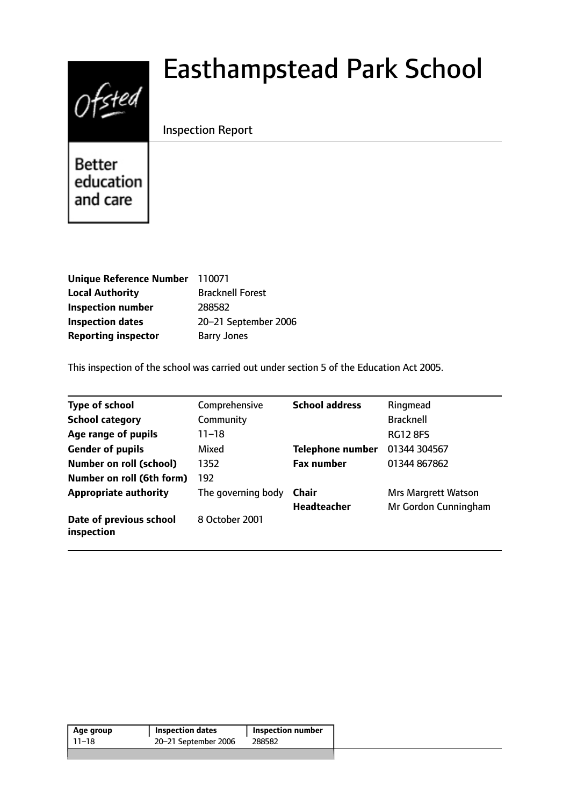# Ofsted

# Easthampstead Park School

# Inspection Report

**Better** education and care

| Unique Reference Number 110071 |                         |
|--------------------------------|-------------------------|
| <b>Local Authority</b>         | <b>Bracknell Forest</b> |
| <b>Inspection number</b>       | 288582                  |
| <b>Inspection dates</b>        | 20-21 September 2006    |
| <b>Reporting inspector</b>     | <b>Barry Jones</b>      |

This inspection of the school was carried out under section 5 of the Education Act 2005.

| <b>Type of school</b>                 | Comprehensive      | <b>School address</b>   | Ringmead                   |
|---------------------------------------|--------------------|-------------------------|----------------------------|
| <b>School category</b>                | Community          |                         | <b>Bracknell</b>           |
| Age range of pupils                   | 11–18              |                         | <b>RG12 8FS</b>            |
| <b>Gender of pupils</b>               | Mixed              | <b>Telephone number</b> | 01344 304567               |
| <b>Number on roll (school)</b>        | 1352               | <b>Fax number</b>       | 01344 867862               |
| Number on roll (6th form)             | 192                |                         |                            |
| <b>Appropriate authority</b>          | The governing body | Chair                   | <b>Mrs Margrett Watson</b> |
|                                       |                    | <b>Headteacher</b>      | Mr Gordon Cunningham       |
| Date of previous school<br>inspection | 8 October 2001     |                         |                            |

| Age group | <b>Inspection dates</b> | Inspection number |
|-----------|-------------------------|-------------------|
| 11–18     | 20-21 September 2006    | 288582            |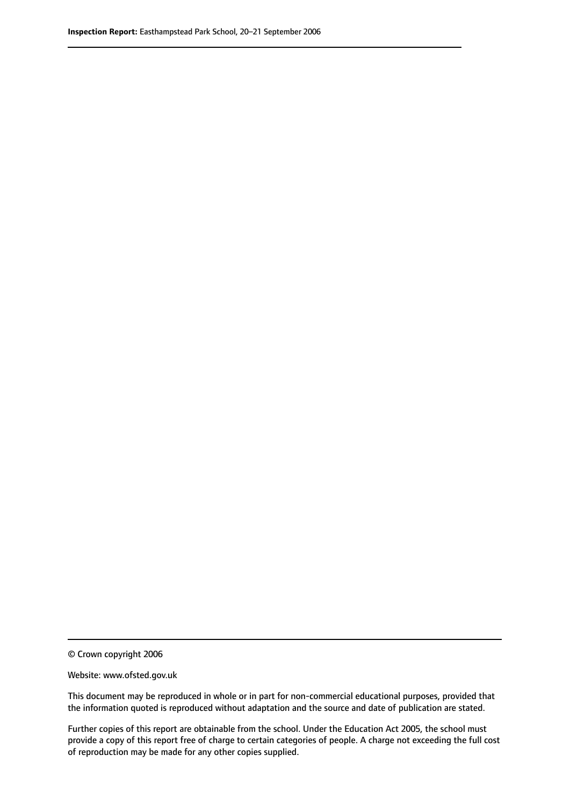© Crown copyright 2006

Website: www.ofsted.gov.uk

This document may be reproduced in whole or in part for non-commercial educational purposes, provided that the information quoted is reproduced without adaptation and the source and date of publication are stated.

Further copies of this report are obtainable from the school. Under the Education Act 2005, the school must provide a copy of this report free of charge to certain categories of people. A charge not exceeding the full cost of reproduction may be made for any other copies supplied.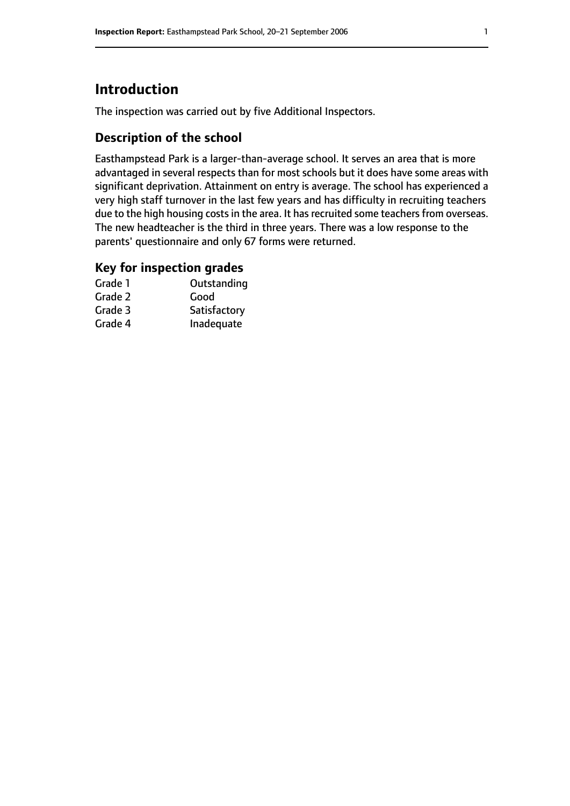# **Introduction**

The inspection was carried out by five Additional Inspectors.

# **Description of the school**

Easthampstead Park is a larger-than-average school. It serves an area that is more advantaged in several respects than for most schools but it does have some areas with significant deprivation. Attainment on entry is average. The school has experienced a very high staff turnover in the last few years and has difficulty in recruiting teachers due to the high housing costs in the area. It has recruited some teachers from overseas. The new headteacher is the third in three years. There was a low response to the parents' questionnaire and only 67 forms were returned.

#### **Key for inspection grades**

| Grade 1 | Outstanding  |
|---------|--------------|
| Grade 2 | Good         |
| Grade 3 | Satisfactory |
| Grade 4 | Inadequate   |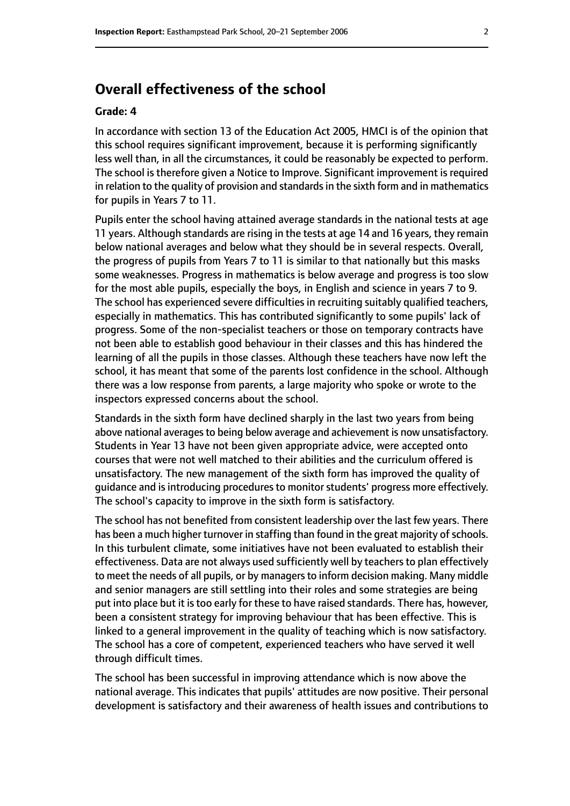# **Overall effectiveness of the school**

#### **Grade: 4**

In accordance with section 13 of the Education Act 2005, HMCI is of the opinion that this school requires significant improvement, because it is performing significantly less well than, in all the circumstances, it could be reasonably be expected to perform. The school is therefore given a Notice to Improve. Significant improvement is required in relation to the quality of provision and standards in the sixth form and in mathematics for pupils in Years 7 to 11.

Pupils enter the school having attained average standards in the national tests at age 11 years. Although standards are rising in the tests at age 14 and 16 years, they remain below national averages and below what they should be in several respects. Overall, the progress of pupils from Years 7 to 11 is similar to that nationally but this masks some weaknesses. Progress in mathematics is below average and progress is too slow for the most able pupils, especially the boys, in English and science in years 7 to 9. The school has experienced severe difficulties in recruiting suitably qualified teachers, especially in mathematics. This has contributed significantly to some pupils' lack of progress. Some of the non-specialist teachers or those on temporary contracts have not been able to establish good behaviour in their classes and this has hindered the learning of all the pupils in those classes. Although these teachers have now left the school, it has meant that some of the parents lost confidence in the school. Although there was a low response from parents, a large majority who spoke or wrote to the inspectors expressed concerns about the school.

Standards in the sixth form have declined sharply in the last two years from being above national averages to being below average and achievement is now unsatisfactory. Students in Year 13 have not been given appropriate advice, were accepted onto courses that were not well matched to their abilities and the curriculum offered is unsatisfactory. The new management of the sixth form has improved the quality of guidance and is introducing procedures to monitor students' progress more effectively. The school's capacity to improve in the sixth form is satisfactory.

The school has not benefited from consistent leadership over the last few years. There has been a much higher turnover in staffing than found in the great majority of schools. In this turbulent climate, some initiatives have not been evaluated to establish their effectiveness. Data are not always used sufficiently well by teachers to plan effectively to meet the needs of all pupils, or by managersto inform decision making. Many middle and senior managers are still settling into their roles and some strategies are being put into place but it is too early for these to have raised standards. There has, however, been a consistent strategy for improving behaviour that has been effective. This is linked to a general improvement in the quality of teaching which is now satisfactory. The school has a core of competent, experienced teachers who have served it well through difficult times.

The school has been successful in improving attendance which is now above the national average. This indicates that pupils' attitudes are now positive. Their personal development is satisfactory and their awareness of health issues and contributions to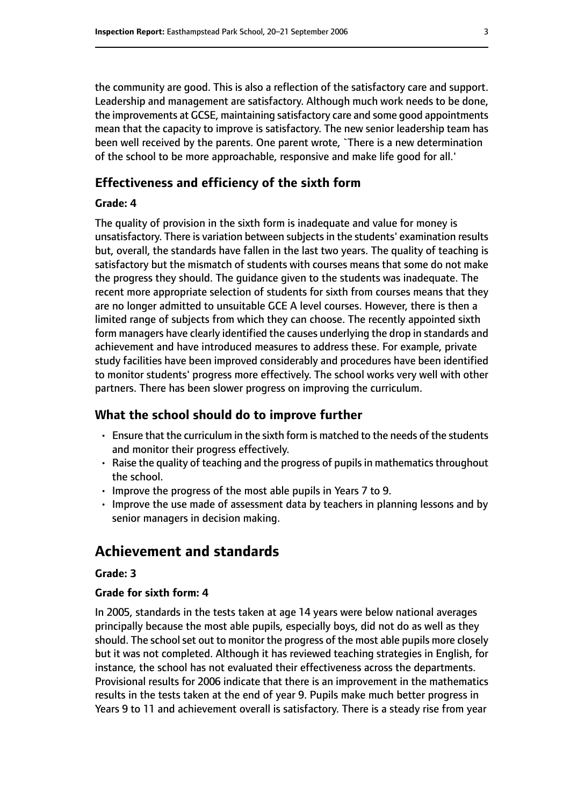the community are good. This is also a reflection of the satisfactory care and support. Leadership and management are satisfactory. Although much work needs to be done, the improvements at GCSE, maintaining satisfactory care and some good appointments mean that the capacity to improve is satisfactory. The new senior leadership team has been well received by the parents. One parent wrote, `There is a new determination of the school to be more approachable, responsive and make life good for all.'

#### **Effectiveness and efficiency of the sixth form**

#### **Grade: 4**

The quality of provision in the sixth form is inadequate and value for money is unsatisfactory. There is variation between subjects in the students' examination results but, overall, the standards have fallen in the last two years. The quality of teaching is satisfactory but the mismatch of students with courses means that some do not make the progress they should. The guidance given to the students was inadequate. The recent more appropriate selection of students for sixth from courses means that they are no longer admitted to unsuitable GCE A level courses. However, there is then a limited range of subjects from which they can choose. The recently appointed sixth form managers have clearly identified the causes underlying the drop in standards and achievement and have introduced measures to address these. For example, private study facilities have been improved considerably and procedures have been identified to monitor students' progress more effectively. The school works very well with other partners. There has been slower progress on improving the curriculum.

#### **What the school should do to improve further**

- Ensure that the curriculum in the sixth form is matched to the needs of the students and monitor their progress effectively.
- $\cdot$  Raise the quality of teaching and the progress of pupils in mathematics throughout the school.
- Improve the progress of the most able pupils in Years 7 to 9.
- Improve the use made of assessment data by teachers in planning lessons and by senior managers in decision making.

# **Achievement and standards**

#### **Grade: 3**

#### **Grade for sixth form: 4**

In 2005, standards in the tests taken at age 14 years were below national averages principally because the most able pupils, especially boys, did not do as well as they should. The school set out to monitor the progress of the most able pupils more closely but it was not completed. Although it has reviewed teaching strategies in English, for instance, the school has not evaluated their effectiveness across the departments. Provisional results for 2006 indicate that there is an improvement in the mathematics results in the tests taken at the end of year 9. Pupils make much better progress in Years 9 to 11 and achievement overall is satisfactory. There is a steady rise from year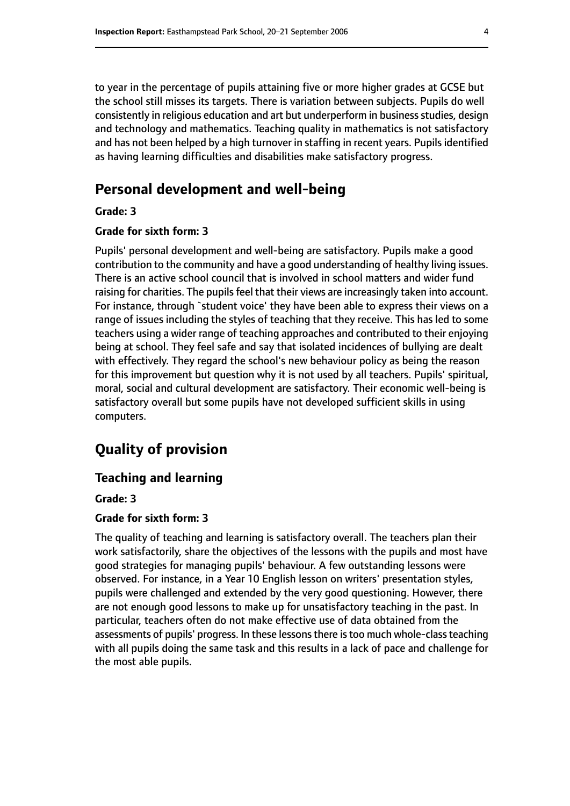to year in the percentage of pupils attaining five or more higher grades at GCSE but the school still misses its targets. There is variation between subjects. Pupils do well consistently in religious education and art but underperform in business studies, design and technology and mathematics. Teaching quality in mathematics is not satisfactory and has not been helped by a high turnover in staffing in recent years. Pupils identified as having learning difficulties and disabilities make satisfactory progress.

# **Personal development and well-being**

**Grade: 3**

#### **Grade for sixth form: 3**

Pupils' personal development and well-being are satisfactory. Pupils make a good contribution to the community and have a good understanding of healthy living issues. There is an active school council that is involved in school matters and wider fund raising for charities. The pupils feel that their views are increasingly taken into account. For instance, through `student voice' they have been able to express their views on a range of issues including the styles of teaching that they receive. This has led to some teachers using a wider range of teaching approaches and contributed to their enjoying being at school. They feel safe and say that isolated incidences of bullying are dealt with effectively. They regard the school's new behaviour policy as being the reason for this improvement but question why it is not used by all teachers. Pupils' spiritual, moral, social and cultural development are satisfactory. Their economic well-being is satisfactory overall but some pupils have not developed sufficient skills in using computers.

# **Quality of provision**

#### **Teaching and learning**

**Grade: 3**

#### **Grade for sixth form: 3**

The quality of teaching and learning is satisfactory overall. The teachers plan their work satisfactorily, share the objectives of the lessons with the pupils and most have good strategies for managing pupils' behaviour. A few outstanding lessons were observed. For instance, in a Year 10 English lesson on writers' presentation styles, pupils were challenged and extended by the very good questioning. However, there are not enough good lessons to make up for unsatisfactory teaching in the past. In particular, teachers often do not make effective use of data obtained from the assessments of pupils' progress. In these lessons there is too much whole-class teaching with all pupils doing the same task and this results in a lack of pace and challenge for the most able pupils.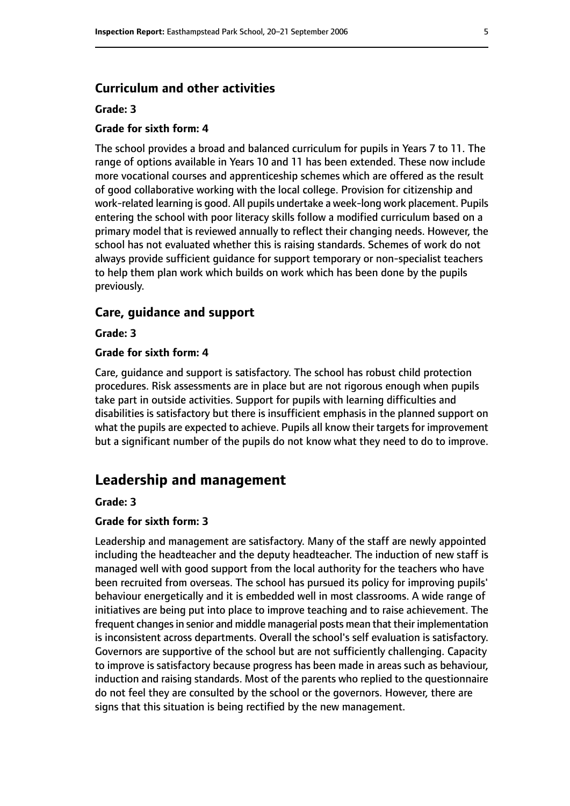#### **Curriculum and other activities**

#### **Grade: 3**

#### **Grade for sixth form: 4**

The school provides a broad and balanced curriculum for pupils in Years 7 to 11. The range of options available in Years 10 and 11 has been extended. These now include more vocational courses and apprenticeship schemes which are offered as the result of good collaborative working with the local college. Provision for citizenship and work-related learning is good. All pupils undertake a week-long work placement. Pupils entering the school with poor literacy skills follow a modified curriculum based on a primary model that is reviewed annually to reflect their changing needs. However, the school has not evaluated whether this is raising standards. Schemes of work do not always provide sufficient guidance for support temporary or non-specialist teachers to help them plan work which builds on work which has been done by the pupils previously.

#### **Care, guidance and support**

**Grade: 3**

#### **Grade for sixth form: 4**

Care, guidance and support is satisfactory. The school has robust child protection procedures. Risk assessments are in place but are not rigorous enough when pupils take part in outside activities. Support for pupils with learning difficulties and disabilities is satisfactory but there is insufficient emphasis in the planned support on what the pupils are expected to achieve. Pupils all know their targets for improvement but a significant number of the pupils do not know what they need to do to improve.

#### **Leadership and management**

#### **Grade: 3**

#### **Grade for sixth form: 3**

Leadership and management are satisfactory. Many of the staff are newly appointed including the headteacher and the deputy headteacher. The induction of new staff is managed well with good support from the local authority for the teachers who have been recruited from overseas. The school has pursued its policy for improving pupils' behaviour energetically and it is embedded well in most classrooms. A wide range of initiatives are being put into place to improve teaching and to raise achievement. The frequent changes in senior and middle managerial posts mean that their implementation is inconsistent across departments. Overall the school's self evaluation is satisfactory. Governors are supportive of the school but are not sufficiently challenging. Capacity to improve is satisfactory because progress has been made in areas such as behaviour, induction and raising standards. Most of the parents who replied to the questionnaire do not feel they are consulted by the school or the governors. However, there are signs that this situation is being rectified by the new management.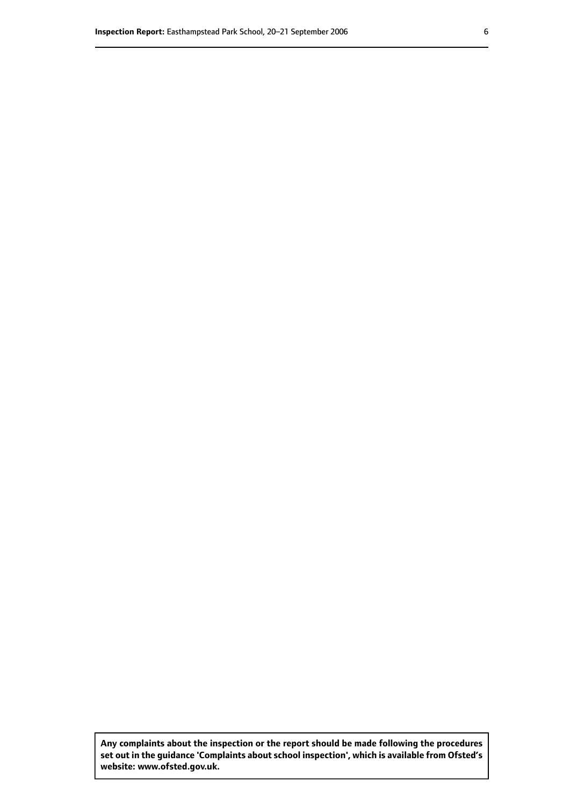**Any complaints about the inspection or the report should be made following the procedures set out inthe guidance 'Complaints about school inspection', whichis available from Ofsted's website: www.ofsted.gov.uk.**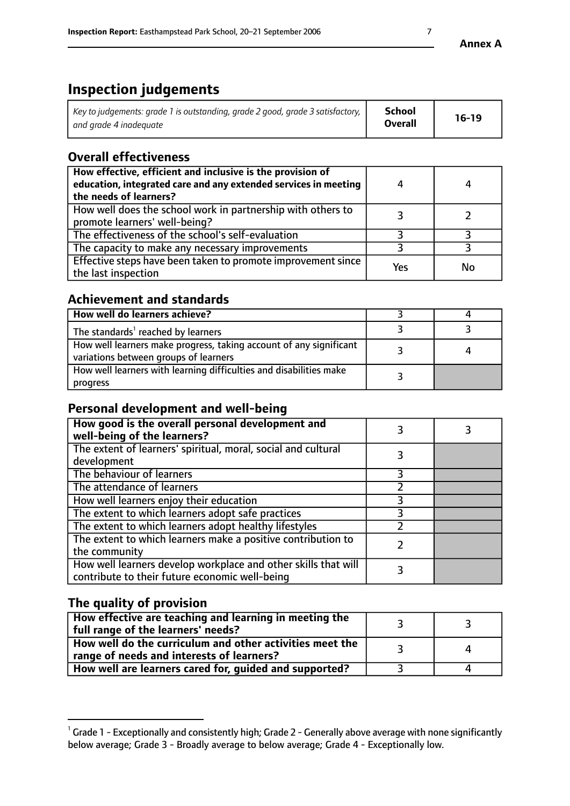# **Inspection judgements**

| Key to judgements: grade 1 is outstanding, grade 2 good, grade 3 satisfactory, 1 | <b>School</b>  | $16-19$ |
|----------------------------------------------------------------------------------|----------------|---------|
| and grade 4 inadeguate                                                           | <b>Overall</b> |         |

# **Overall effectiveness**

| How effective, efficient and inclusive is the provision of<br>education, integrated care and any extended services in meeting<br>the needs of learners? |     | 4  |
|---------------------------------------------------------------------------------------------------------------------------------------------------------|-----|----|
| How well does the school work in partnership with others to<br>promote learners' well-being?                                                            |     |    |
| The effectiveness of the school's self-evaluation                                                                                                       |     |    |
| The capacity to make any necessary improvements                                                                                                         |     |    |
| Effective steps have been taken to promote improvement since<br>the last inspection                                                                     | Yes | No |

# **Achievement and standards**

| How well do learners achieve?                                                                               |  |
|-------------------------------------------------------------------------------------------------------------|--|
| The standards <sup>1</sup> reached by learners                                                              |  |
| How well learners make progress, taking account of any significant<br>variations between groups of learners |  |
| How well learners with learning difficulties and disabilities make<br>progress                              |  |

### **Personal development and well-being**

| How good is the overall personal development and<br>well-being of the learners?                                  |  |
|------------------------------------------------------------------------------------------------------------------|--|
| The extent of learners' spiritual, moral, social and cultural<br>development                                     |  |
| The behaviour of learners                                                                                        |  |
| The attendance of learners                                                                                       |  |
| How well learners enjoy their education                                                                          |  |
| The extent to which learners adopt safe practices                                                                |  |
| The extent to which learners adopt healthy lifestyles                                                            |  |
| The extent to which learners make a positive contribution to<br>the community                                    |  |
| How well learners develop workplace and other skills that will<br>contribute to their future economic well-being |  |

# **The quality of provision**

| How effective are teaching and learning in meeting the<br>full range of the learners' needs?          |  |
|-------------------------------------------------------------------------------------------------------|--|
| How well do the curriculum and other activities meet the<br>range of needs and interests of learners? |  |
| How well are learners cared for, guided and supported?                                                |  |

 $^1$  Grade 1 - Exceptionally and consistently high; Grade 2 - Generally above average with none significantly below average; Grade 3 - Broadly average to below average; Grade 4 - Exceptionally low.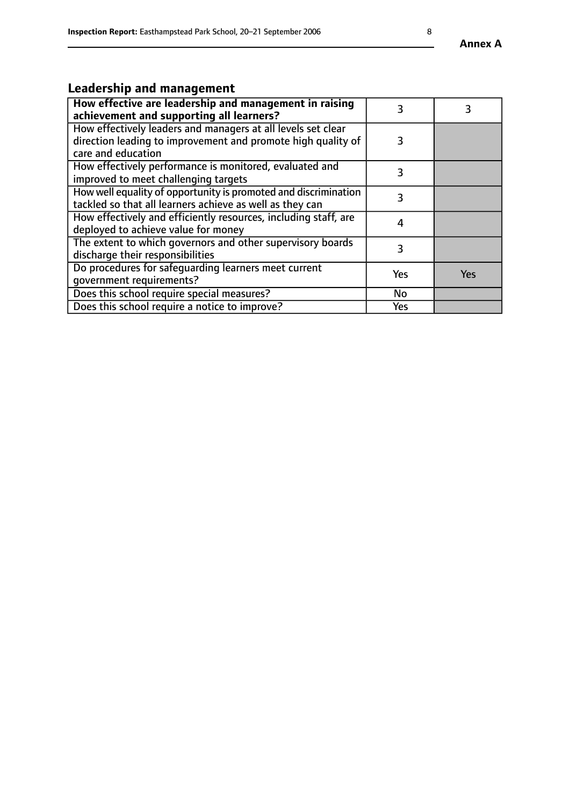# **Leadership and management**

| How effective are leadership and management in raising<br>achievement and supporting all learners?                                                 | 3   |            |
|----------------------------------------------------------------------------------------------------------------------------------------------------|-----|------------|
| How effectively leaders and managers at all levels set clear<br>direction leading to improvement and promote high quality of<br>care and education | 3   |            |
| How effectively performance is monitored, evaluated and<br>improved to meet challenging targets                                                    | 3   |            |
| How well equality of opportunity is promoted and discrimination<br>tackled so that all learners achieve as well as they can                        | 3   |            |
| How effectively and efficiently resources, including staff, are<br>deployed to achieve value for money                                             | 4   |            |
| The extent to which governors and other supervisory boards<br>discharge their responsibilities                                                     | 3   |            |
| Do procedures for safeguarding learners meet current<br>qovernment requirements?                                                                   | Yes | <b>Yes</b> |
| Does this school require special measures?                                                                                                         | No  |            |
| Does this school require a notice to improve?                                                                                                      | Yes |            |